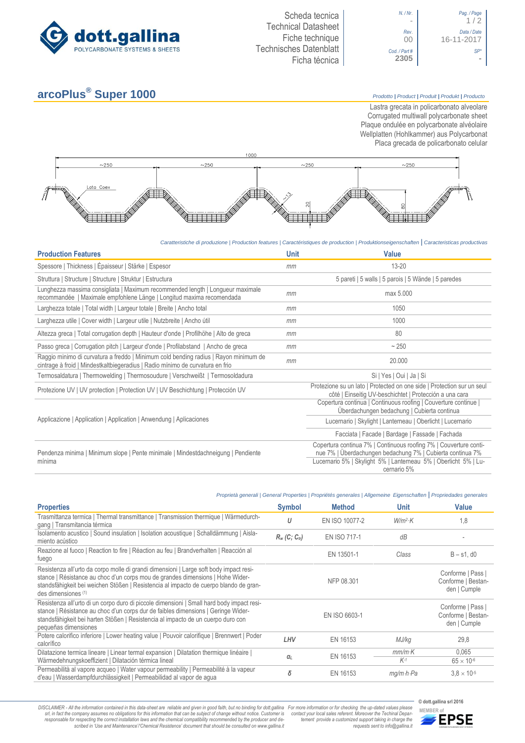



## **arcoPlus® Super 1000** *Prodotto <sup>|</sup> Product <sup>|</sup> Produit <sup>|</sup> Produkt <sup>|</sup> Producto*

Lastra grecata in policarbonato alveolare Corrugated multiwall polycarbonate sheet Plaque ondulée en polycarbonate alvéolaire Wellplatten (Hohlkammer) aus Polycarbonat Placa grecada de policarbonato celular



*Caratteristiche di produzione | Production features | Caractéristiques de production | Produktionseigenschaften* **|** *Caracteristicas productivas*

| <b>Production Features</b>                                                                                                                                            | <b>Unit</b> | <b>Value</b>                                                                                                                      |
|-----------------------------------------------------------------------------------------------------------------------------------------------------------------------|-------------|-----------------------------------------------------------------------------------------------------------------------------------|
| Spessore   Thickness   Épaisseur   Stärke   Espesor                                                                                                                   | mm          | $13 - 20$                                                                                                                         |
| Struttura   Structure   Structure   Struktur   Estructura                                                                                                             |             | 5 pareti   5 walls   5 parois   5 Wände   5 paredes                                                                               |
| Lunghezza massima consigliata   Maximum recommended length   Longueur maximale<br>recommandée   Maximale empfohlene Länge   Longitud maxima recomendada               | mm          | max 5.000                                                                                                                         |
| Larghezza totale   Total width   Largeur totale   Breite   Ancho total                                                                                                | mm          | 1050                                                                                                                              |
| Larghezza utile   Cover width   Largeur utile   Nutzbreite   Ancho útil                                                                                               | mm          | 1000                                                                                                                              |
| Altezza greca   Total corrugation depth   Hauteur d'onde   Profilhöhe   Alto de greca                                                                                 | mm          | 80                                                                                                                                |
| Passo greca   Corrugation pitch   Largeur d'onde   Profilabstand   Ancho de greca                                                                                     | mm          | $~1$ - 250                                                                                                                        |
| Raggio minimo di curvatura a freddo   Minimum cold bending radius   Rayon minimum de<br>cintrage à froid   Mindestkaltbiegeradius   Radio mínimo de curvatura en frio | mm          | 20.000                                                                                                                            |
| Termosaldatura   Thermowelding   Thermosoudure   Verschweißt   Termosoldadura                                                                                         |             | Si   Yes   Oui   Ja   Si                                                                                                          |
| Protezione UV   UV protection   Protection UV   UV Beschichtung   Protección UV                                                                                       |             | Protezione su un lato   Protected on one side   Protection sur un seul<br>côté   Einseitig UV-beschichtet   Protección a una cara |
|                                                                                                                                                                       |             | Copertura continua   Continuous roofing   Couverture continue  <br>Überdachungen bedachung   Cubierta continua                    |
| Applicazione   Application   Application   Anwendung   Aplicaciones                                                                                                   |             | Lucernario   Skylight   Lanterneau   Oberlicht   Lucernario                                                                       |
|                                                                                                                                                                       |             | Facciata   Facade   Bardage   Fassade   Fachada                                                                                   |
| Pendenza minima   Minimum slope   Pente minimale   Mindestdachneigung   Pendiente<br>mínima                                                                           |             | Copertura continua 7%   Continuous roofing 7%   Couverture conti-<br>nue 7%   Überdachungen bedachung 7%   Cubierta continua 7%   |
|                                                                                                                                                                       |             | Lucernario 5%   Skylight 5%   Lanterneau 5%   Oberlicht 5%   Lu-<br>cernario 5%                                                   |

|                                                                                                                                                                                                                                                                                            |                             | Proprietà generali   General Properties   Propriétés generales   Allgemeine Eigenschaften   Propriedades generales |                         |                                                         |
|--------------------------------------------------------------------------------------------------------------------------------------------------------------------------------------------------------------------------------------------------------------------------------------------|-----------------------------|--------------------------------------------------------------------------------------------------------------------|-------------------------|---------------------------------------------------------|
| <b>Properties</b>                                                                                                                                                                                                                                                                          | <b>Symbol</b>               | <b>Method</b>                                                                                                      | <b>Unit</b>             | <b>Value</b>                                            |
| Trasmittanza termica   Thermal transmittance   Transmission thermique   Wärmedurch-<br>gang   Transmitancia térmica                                                                                                                                                                        | U                           | EN ISO 10077-2                                                                                                     | $W/m^2$ K               | 1,8                                                     |
| Isolamento acustico   Sound insulation   Isolation acoustique   Schalldämmung   Aisla-<br>miento acústico                                                                                                                                                                                  | $R_w$ (C; C <sub>tr</sub> ) | EN ISO 717-1                                                                                                       | dB                      |                                                         |
| Reazione al fuoco   Reaction to fire   Réaction au feu   Brandverhalten   Reacción al<br>fuego                                                                                                                                                                                             |                             | EN 13501-1                                                                                                         | Class                   | $B - s1$ , d $0$                                        |
| Resistenza all'urto da corpo molle di grandi dimensioni   Large soft body impact resi-<br>stance   Résistance au choc d'un corps mou de grandes dimensions   Hohe Wider-<br>standsfähigkeit bei weichen Stößen   Resistencia al impacto de cuerpo blando de gran-<br>des dimensiones (1)   |                             | NFP 08.301                                                                                                         |                         | Conforme   Pass  <br>Conforme   Bestan-<br>den   Cumple |
| Resistenza all'urto di un corpo duro di piccole dimensioni   Small hard body impact resi-<br>stance   Résistance au choc d'un corps dur de faibles dimensions   Geringe Wider-<br>standsfähigkeit bei harten Stößen   Resistencia al impacto de un cuerpo duro con<br>pequeñas dimensiones |                             | EN ISO 6603-1                                                                                                      |                         | Conforme   Pass  <br>Conforme   Bestan-<br>den   Cumple |
| Potere calorifico inferiore   Lower heating value   Pouvoir calorifique   Brennwert   Poder<br>calorífico                                                                                                                                                                                  | LHV                         | EN 16153                                                                                                           | MJ/kg                   | 29,8                                                    |
| Dilatazione termica lineare   Linear termal expansion   Dilatation thermique linéaire  <br>Wärmedehnungskoeffizient   Dilatación térmica lineal                                                                                                                                            | $\alpha$                    | EN 16153                                                                                                           | $mm/m\cdot K$<br>$K-1$  | 0.065<br>$65 \times 10^{-6}$                            |
| Permeabilità al vapore acqueo   Water vapour permeability   Permeabilité à la vapeur<br>d'eau   Wasserdampfdurchlässigkeit   Permeabilidad al vapor de agua                                                                                                                                | δ                           | EN 16153                                                                                                           | $mq/m \cdot h \cdot Pa$ | $3.8 \times 10^{-5}$                                    |

DISCLAIMER - All the information contained in this data-sheet are reliable and given in good faith, but no binding for dott.gallina For more information or for checking the up-dated values please<br>-srl, in fact the company -responsable for respecting the correct installation laws and the chemical compatibility recommended by the producer and de-<br>scribed in 'Use and Maintenance'/'Chemical Resistence' document that should be consulted on www.g

*tement provide a customized support taking in charge the requests sent to info@gallina.it*

**© dott.gallina srl 2016**

**MEMBER of**<br>**MEMBER of**